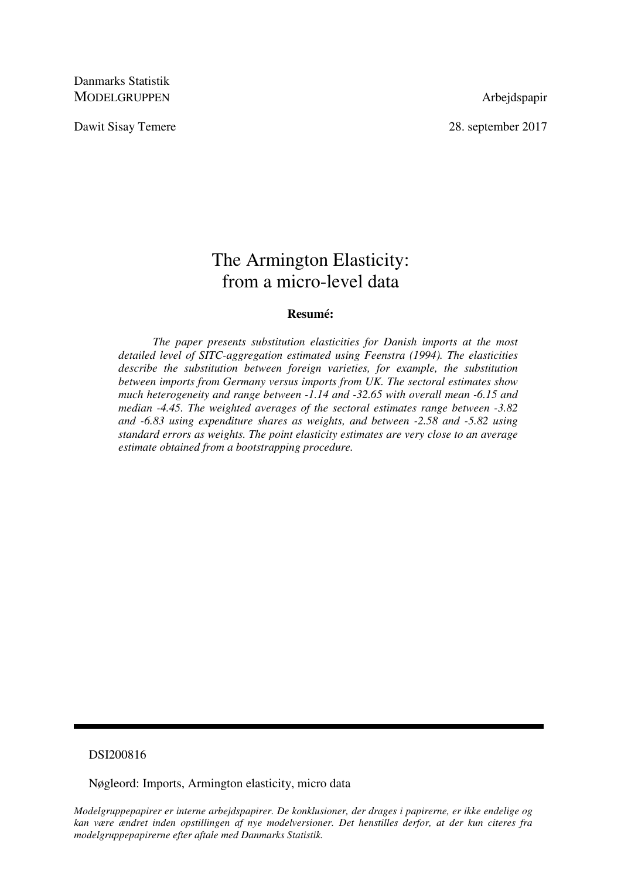Danmarks Statistik MODELGRUPPEN Arbejdspapir

Dawit Sisay Temere 2017

# The Armington Elasticity: from a micro-level data

## **Resumé:**

 *The paper presents substitution elasticities for Danish imports at the most detailed level of SITC-aggregation estimated using Feenstra (1994). The elasticities describe the substitution between foreign varieties, for example, the substitution between imports from Germany versus imports from UK. The sectoral estimates show much heterogeneity and range between -1.14 and -32.65 with overall mean -6.15 and median -4.45. The weighted averages of the sectoral estimates range between -3.82 and -6.83 using expenditure shares as weights, and between -2.58 and -5.82 using standard errors as weights. The point elasticity estimates are very close to an average estimate obtained from a bootstrapping procedure.* 

## DSI200816

Nøgleord: Imports, Armington elasticity, micro data

*Modelgruppepapirer er interne arbejdspapirer. De konklusioner, der drages i papirerne, er ikke endelige og kan være ændret inden opstillingen af nye modelversioner. Det henstilles derfor, at der kun citeres fra modelgruppepapirerne efter aftale med Danmarks Statistik.*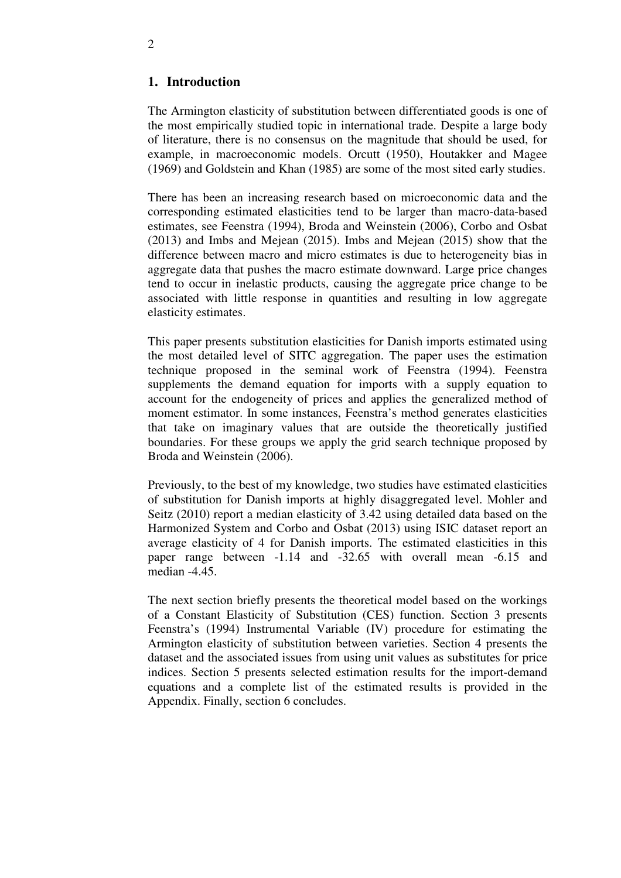# **1. Introduction**

The Armington elasticity of substitution between differentiated goods is one of the most empirically studied topic in international trade. Despite a large body of literature, there is no consensus on the magnitude that should be used, for example, in macroeconomic models. Orcutt (1950), Houtakker and Magee (1969) and Goldstein and Khan (1985) are some of the most sited early studies.

There has been an increasing research based on microeconomic data and the corresponding estimated elasticities tend to be larger than macro-data-based estimates, see Feenstra (1994), Broda and Weinstein (2006), Corbo and Osbat (2013) and Imbs and Mejean (2015). Imbs and Mejean (2015) show that the difference between macro and micro estimates is due to heterogeneity bias in aggregate data that pushes the macro estimate downward. Large price changes tend to occur in inelastic products, causing the aggregate price change to be associated with little response in quantities and resulting in low aggregate elasticity estimates.

This paper presents substitution elasticities for Danish imports estimated using the most detailed level of SITC aggregation. The paper uses the estimation technique proposed in the seminal work of Feenstra (1994). Feenstra supplements the demand equation for imports with a supply equation to account for the endogeneity of prices and applies the generalized method of moment estimator. In some instances, Feenstra's method generates elasticities that take on imaginary values that are outside the theoretically justified boundaries. For these groups we apply the grid search technique proposed by Broda and Weinstein (2006).

Previously, to the best of my knowledge, two studies have estimated elasticities of substitution for Danish imports at highly disaggregated level. Mohler and Seitz (2010) report a median elasticity of 3.42 using detailed data based on the Harmonized System and Corbo and Osbat (2013) using ISIC dataset report an average elasticity of 4 for Danish imports. The estimated elasticities in this paper range between -1.14 and -32.65 with overall mean -6.15 and median -4.45.

The next section briefly presents the theoretical model based on the workings of a Constant Elasticity of Substitution (CES) function. Section 3 presents Feenstra's (1994) Instrumental Variable (IV) procedure for estimating the Armington elasticity of substitution between varieties. Section 4 presents the dataset and the associated issues from using unit values as substitutes for price indices. Section 5 presents selected estimation results for the import-demand equations and a complete list of the estimated results is provided in the Appendix. Finally, section 6 concludes.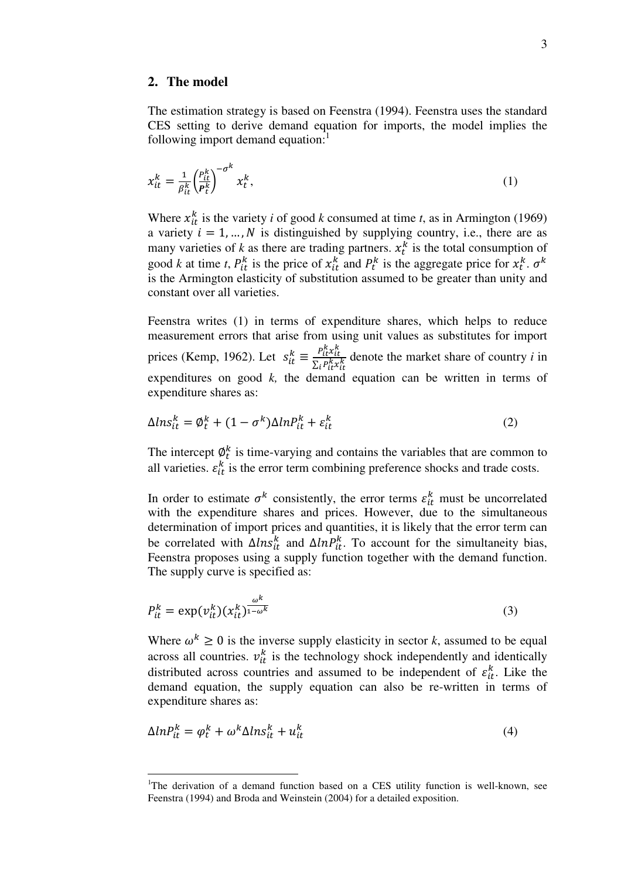## **2. The model**

 $\overline{a}$ 

The estimation strategy is based on Feenstra (1994). Feenstra uses the standard CES setting to derive demand equation for imports, the model implies the following import demand equation:

$$
x_{it}^k = \frac{1}{\beta_{it}^k} \left(\frac{P_{it}^k}{P_t^k}\right)^{-\sigma^k} x_t^k,\tag{1}
$$

Where  $x_{it}^k$  is the variety *i* of good *k* consumed at time *t*, as in Armington (1969) a variety  $i = 1, ..., N$  is distinguished by supplying country, i.e., there are as many varieties of  $k$  as there are trading partners.  $x_t^k$  is the total consumption of good *k* at time *t*,  $P_{it}^k$  is the price of  $x_{it}^k$  and  $P_t^k$  is the aggregate price for  $x_t^k$ .  $\sigma^k$ is the Armington elasticity of substitution assumed to be greater than unity and constant over all varieties.

Feenstra writes (1) in terms of expenditure shares, which helps to reduce measurement errors that arise from using unit values as substitutes for import prices (Kemp, 1962). Let  $s_{it}^k \equiv \frac{P_{it}^k x_{it}^k}{\sum_i P_{i,k}^k x_i^k}$  $\Sigma_i P^k_{it} x^k_{it}$  denote the market share of country *i* in expenditures on good k, the demand equation can be written in terms of expenditure shares as:

$$
\Delta l n s_{it}^k = \phi_t^k + (1 - \sigma^k) \Delta l n P_{it}^k + \varepsilon_{it}^k \tag{2}
$$

The intercept  $\phi_t^k$  is time-varying and contains the variables that are common to all varieties.  $\varepsilon_{it}^k$  is the error term combining preference shocks and trade costs.

In order to estimate  $\sigma^k$  consistently, the error terms  $\varepsilon_{it}^k$  must be uncorrelated with the expenditure shares and prices. However, due to the simultaneous determination of import prices and quantities, it is likely that the error term can be correlated with  $\Delta l n s_{it}^k$  and  $\Delta l n P_{it}^k$ . To account for the simultaneity bias, Feenstra proposes using a supply function together with the demand function. The supply curve is specified as:

$$
P_{it}^k = \exp(v_{it}^k)(x_{it}^k)^{\frac{\omega^k}{1-\omega^k}}
$$
\n(3)

Where  $\omega^k \geq 0$  is the inverse supply elasticity in sector *k*, assumed to be equal across all countries.  $v_{it}^k$  is the technology shock independently and identically distributed across countries and assumed to be independent of  $\varepsilon_{it}^k$ . Like the demand equation, the supply equation can also be re-written in terms of expenditure shares as:

$$
\Delta l n P_{it}^k = \varphi_t^k + \omega^k \Delta l n s_{it}^k + u_{it}^k \tag{4}
$$

<sup>&</sup>lt;sup>1</sup>The derivation of a demand function based on a CES utility function is well-known, see Feenstra (1994) and Broda and Weinstein (2004) for a detailed exposition.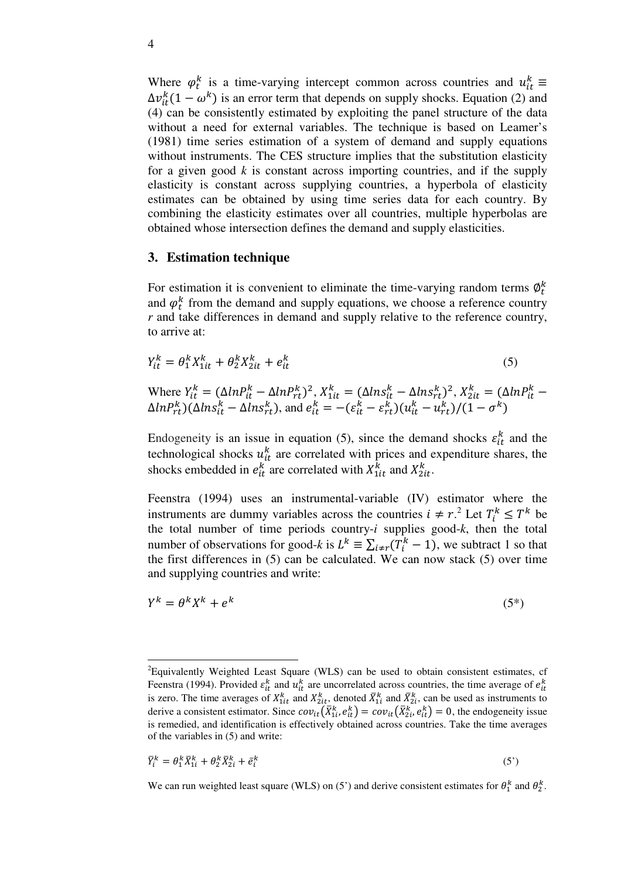Where  $\varphi_t^k$  is a time-varying intercept common across countries and  $u_{it}^k \equiv$  $\Delta v_{it}^{k}(1 - \omega^{k})$  is an error term that depends on supply shocks. Equation (2) and (4) can be consistently estimated by exploiting the panel structure of the data without a need for external variables. The technique is based on Leamer's (1981) time series estimation of a system of demand and supply equations without instruments. The CES structure implies that the substitution elasticity for a given good  $k$  is constant across importing countries, and if the supply elasticity is constant across supplying countries, a hyperbola of elasticity estimates can be obtained by using time series data for each country. By combining the elasticity estimates over all countries, multiple hyperbolas are obtained whose intersection defines the demand and supply elasticities.

## **3. Estimation technique**

For estimation it is convenient to eliminate the time-varying random terms  $\varphi_t^k$ and  $\varphi_t^k$  from the demand and supply equations, we choose a reference country *r* and take differences in demand and supply relative to the reference country, to arrive at:

$$
Y_{it}^k = \theta_1^k X_{1it}^k + \theta_2^k X_{2it}^k + e_{it}^k \tag{5}
$$

Where 
$$
Y_{it}^k = (\Delta ln P_{it}^k - \Delta ln P_{rt}^k)^2
$$
,  $X_{1it}^k = (\Delta ln S_{it}^k - \Delta ln S_{rt}^k)^2$ ,  $X_{2it}^k = (\Delta ln P_{it}^k - \Delta ln P_{rt}^k)(\Delta ln S_{it}^k - \Delta ln S_{rt}^k)$ , and  $e_{it}^k = -(\varepsilon_{it}^k - \varepsilon_{rt}^k)(u_{it}^k - u_{rt}^k)/(1 - \sigma^k)$ 

Endogeneity is an issue in equation (5), since the demand shocks  $\varepsilon_{it}^k$  and the t technological shocks  $u_{it}^{k}$  are correlated with prices and expenditure shares, the shocks embedded in  $e_{it}^k$  are correlated with  $X_{1it}^k$  and  $X_{2it}^k$ .

Feenstra (1994) uses an instrumental-variable (IV) estimator where the instruments are dummy variables across the countries  $i \neq r^2$ . Let  $T_i^k \leq T^k$  be the total number of time periods country-*i* supplies good-*k*, then the total number of observations for good-*k* is  $L^k \equiv \sum_{i \neq r} (T_i^k - 1)$ , we subtract 1 so that the first differences in (5) can be calculated. We can now stack (5) over time and supplying countries and write:

$$
Y^k = \theta^k X^k + e^k \tag{5*}
$$

$$
\bar{Y}_i^k = \theta_1^k \bar{X}_{1i}^k + \theta_2^k \bar{X}_{2i}^k + \bar{e}_i^k \tag{5'}
$$

-

<sup>&</sup>lt;sup>2</sup>Equivalently Weighted Least Square (WLS) can be used to obtain consistent estimates, cf Feenstra (1994). Provided  $\varepsilon_{it}^k$  and  $u_{it}^k$  are uncorrelated across countries, the time average of  $e_{it}^k$ is zero. The time averages of  $X_{1it}^k$  and  $X_{2it}^k$ , denoted  $\overline{X}_{1i}^k$  and  $\overline{X}_{2i}^k$ , can be used as instruments to derive a consistent estimator. Since  $cov_{it}(\bar{X}_{1i}^k, e_{it}^k) = cov_{it}(\bar{X}_{2i}^k, e_{it}^k) = 0$ , the endogeneity issue is remedied, and identification is effectively obtained across countries. Take the time averages of the variables in (5) and write:

We can run weighted least square (WLS) on (5') and derive consistent estimates for  $\theta_1^k$  and  $\theta_2^k$ .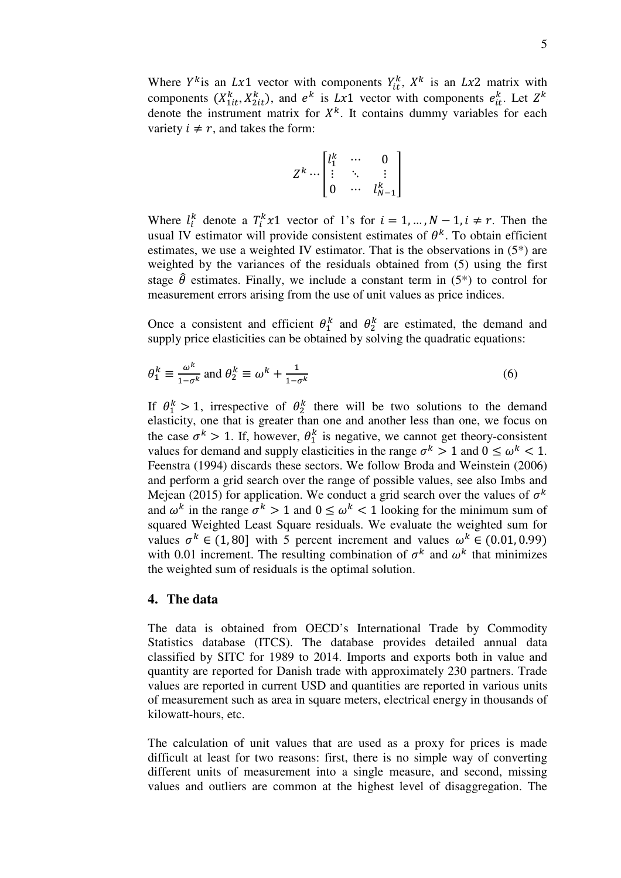Where  $Y^k$  is an  $Lx1$  vector with components  $Y^k_{it}$ ,  $X^k$  is an  $Lx2$  matrix with components  $(X_{1it}^k, X_{2it}^k)$ , and  $e^k$  is Lx1 vector with components  $e_{it}^k$ . Let  $Z^k$ denote the instrument matrix for  $X<sup>k</sup>$ . It contains dummy variables for each variety  $i \neq r$ , and takes the form:

$$
Z^k \cdots \begin{bmatrix} l_1^k & \cdots & 0 \\ \vdots & \ddots & \vdots \\ 0 & \cdots & l_{N-1}^k \end{bmatrix}
$$

Where  $l_i^k$  denote a  $T_i^k x_1$  vector of 1's for  $i = 1, ..., N-1, i \neq r$ . Then the usual IV estimator will provide consistent estimates of  $\theta^k$ . To obtain efficient estimates, we use a weighted IV estimator. That is the observations in (5\*) are weighted by the variances of the residuals obtained from (5) using the first stage  $\hat{\theta}$  estimates. Finally, we include a constant term in (5<sup>\*</sup>) to control for measurement errors arising from the use of unit values as price indices.

Once a consistent and efficient  $\theta_1^k$  and  $\theta_2^k$  are estimated, the demand and supply price elasticities can be obtained by solving the quadratic equations:

$$
\theta_1^k \equiv \frac{\omega^k}{1 - \sigma^k} \text{ and } \theta_2^k \equiv \omega^k + \frac{1}{1 - \sigma^k} \tag{6}
$$

If  $\theta_1^k > 1$ , irrespective of  $\theta_2^k$  there will be two solutions to the demand elasticity, one that is greater than one and another less than one, we focus on the case  $\sigma^k > 1$ . If, however,  $\theta_1^k$  is negative, we cannot get theory-consistent values for demand and supply elasticities in the range  $\sigma^k > 1$  and  $0 \le \omega^k < 1$ . Feenstra (1994) discards these sectors. We follow Broda and Weinstein (2006) and perform a grid search over the range of possible values, see also Imbs and Mejean (2015) for application. We conduct a grid search over the values of  $\sigma^k$ and  $\omega^k$  in the range  $\sigma^k > 1$  and  $0 \le \omega^k < 1$  looking for the minimum sum of squared Weighted Least Square residuals. We evaluate the weighted sum for values  $\sigma^k \in (1, 80]$  with 5 percent increment and values  $\omega^k \in (0.01, 0.99)$ with 0.01 increment. The resulting combination of  $\sigma^k$  and  $\omega^k$  that minimizes the weighted sum of residuals is the optimal solution.

## **4. The data**

The data is obtained from OECD's International Trade by Commodity Statistics database (ITCS). The database provides detailed annual data classified by SITC for 1989 to 2014. Imports and exports both in value and quantity are reported for Danish trade with approximately 230 partners. Trade values are reported in current USD and quantities are reported in various units of measurement such as area in square meters, electrical energy in thousands of kilowatt-hours, etc.

The calculation of unit values that are used as a proxy for prices is made difficult at least for two reasons: first, there is no simple way of converting different units of measurement into a single measure, and second, missing values and outliers are common at the highest level of disaggregation. The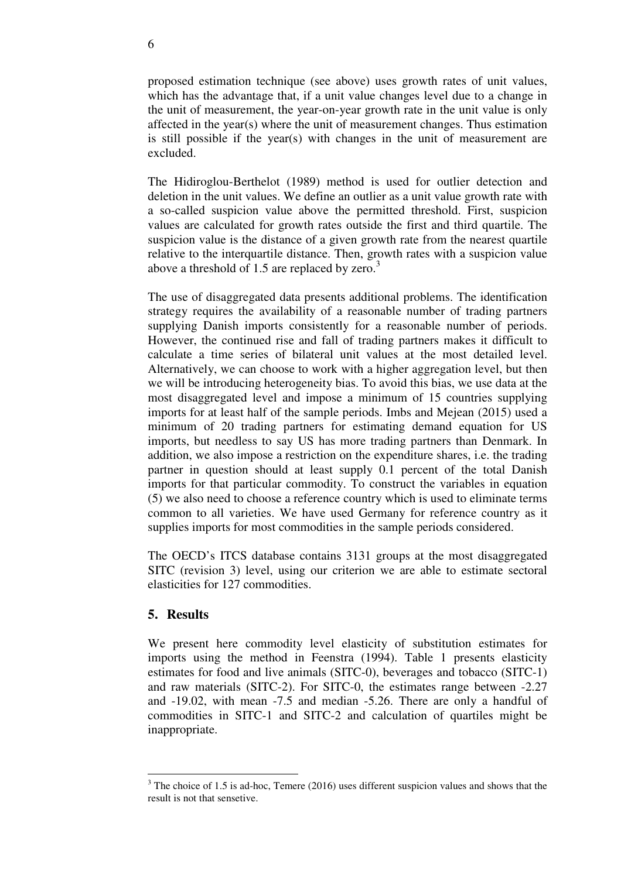proposed estimation technique (see above) uses growth rates of unit values, which has the advantage that, if a unit value changes level due to a change in the unit of measurement, the year-on-year growth rate in the unit value is only affected in the year(s) where the unit of measurement changes. Thus estimation is still possible if the year(s) with changes in the unit of measurement are excluded.

The Hidiroglou-Berthelot (1989) method is used for outlier detection and deletion in the unit values. We define an outlier as a unit value growth rate with a so-called suspicion value above the permitted threshold. First, suspicion values are calculated for growth rates outside the first and third quartile. The suspicion value is the distance of a given growth rate from the nearest quartile relative to the interquartile distance. Then, growth rates with a suspicion value above a threshold of 1.5 are replaced by zero. $3$ 

The use of disaggregated data presents additional problems. The identification strategy requires the availability of a reasonable number of trading partners supplying Danish imports consistently for a reasonable number of periods. However, the continued rise and fall of trading partners makes it difficult to calculate a time series of bilateral unit values at the most detailed level. Alternatively, we can choose to work with a higher aggregation level, but then we will be introducing heterogeneity bias. To avoid this bias, we use data at the most disaggregated level and impose a minimum of 15 countries supplying imports for at least half of the sample periods. Imbs and Mejean (2015) used a minimum of 20 trading partners for estimating demand equation for US imports, but needless to say US has more trading partners than Denmark. In addition, we also impose a restriction on the expenditure shares, i.e. the trading partner in question should at least supply 0.1 percent of the total Danish imports for that particular commodity. To construct the variables in equation (5) we also need to choose a reference country which is used to eliminate terms common to all varieties. We have used Germany for reference country as it supplies imports for most commodities in the sample periods considered.

The OECD's ITCS database contains 3131 groups at the most disaggregated SITC (revision 3) level, using our criterion we are able to estimate sectoral elasticities for 127 commodities.

# **5. Results**

<u>.</u>

We present here commodity level elasticity of substitution estimates for imports using the method in Feenstra (1994). Table 1 presents elasticity estimates for food and live animals (SITC-0), beverages and tobacco (SITC-1) and raw materials (SITC-2). For SITC-0, the estimates range between -2.27 and -19.02, with mean -7.5 and median -5.26. There are only a handful of commodities in SITC-1 and SITC-2 and calculation of quartiles might be inappropriate.

 $3$  The choice of 1.5 is ad-hoc, Temere (2016) uses different suspicion values and shows that the result is not that sensetive.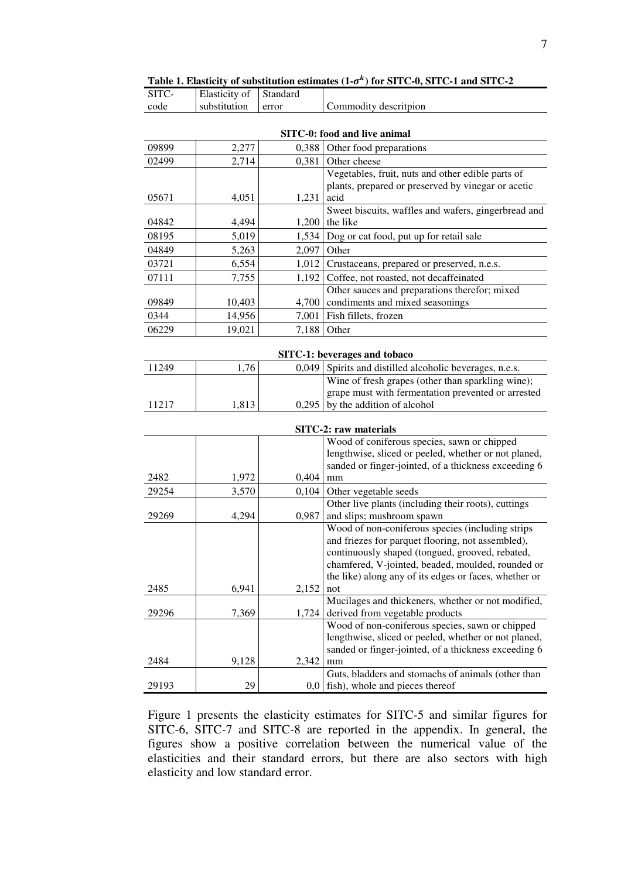| SITC-                  | Elasticity of           | Standard                |                                                                                                                                                                                                                                                                                                                                                                                                                                                                                                                                                                      |
|------------------------|-------------------------|-------------------------|----------------------------------------------------------------------------------------------------------------------------------------------------------------------------------------------------------------------------------------------------------------------------------------------------------------------------------------------------------------------------------------------------------------------------------------------------------------------------------------------------------------------------------------------------------------------|
| code                   | substitution            | error                   | Commodity descritpion                                                                                                                                                                                                                                                                                                                                                                                                                                                                                                                                                |
|                        |                         |                         | SITC-0: food and live animal                                                                                                                                                                                                                                                                                                                                                                                                                                                                                                                                         |
| 09899                  | 2,277                   | 0,388                   | Other food preparations                                                                                                                                                                                                                                                                                                                                                                                                                                                                                                                                              |
| 02499                  | 2,714                   | 0,381                   | Other cheese                                                                                                                                                                                                                                                                                                                                                                                                                                                                                                                                                         |
|                        |                         |                         | Vegetables, fruit, nuts and other edible parts of                                                                                                                                                                                                                                                                                                                                                                                                                                                                                                                    |
|                        |                         |                         | plants, prepared or preserved by vinegar or acetic                                                                                                                                                                                                                                                                                                                                                                                                                                                                                                                   |
| 05671                  | 4,051                   | 1,231                   | acid                                                                                                                                                                                                                                                                                                                                                                                                                                                                                                                                                                 |
|                        |                         |                         | Sweet biscuits, waffles and wafers, gingerbread and                                                                                                                                                                                                                                                                                                                                                                                                                                                                                                                  |
| 04842                  | 4,494                   | 1,200                   | the like                                                                                                                                                                                                                                                                                                                                                                                                                                                                                                                                                             |
| 08195                  | 5,019                   | 1,534                   | Dog or cat food, put up for retail sale                                                                                                                                                                                                                                                                                                                                                                                                                                                                                                                              |
| 04849                  | 5,263                   | 2,097                   | Other                                                                                                                                                                                                                                                                                                                                                                                                                                                                                                                                                                |
| 03721                  | 6,554                   | 1,012                   | Crustaceans, prepared or preserved, n.e.s.                                                                                                                                                                                                                                                                                                                                                                                                                                                                                                                           |
| 07111                  | 7,755                   | 1,192                   | Coffee, not roasted, not decaffeinated                                                                                                                                                                                                                                                                                                                                                                                                                                                                                                                               |
|                        |                         |                         | Other sauces and preparations therefor; mixed                                                                                                                                                                                                                                                                                                                                                                                                                                                                                                                        |
| 09849                  | 10,403                  | 4,700                   | condiments and mixed seasonings                                                                                                                                                                                                                                                                                                                                                                                                                                                                                                                                      |
| 0344                   | 14,956                  | 7,001                   | Fish fillets, frozen                                                                                                                                                                                                                                                                                                                                                                                                                                                                                                                                                 |
| 06229                  | 19,021                  | 7,188                   | Other                                                                                                                                                                                                                                                                                                                                                                                                                                                                                                                                                                |
|                        |                         |                         |                                                                                                                                                                                                                                                                                                                                                                                                                                                                                                                                                                      |
|                        |                         |                         | SITC-1: beverages and tobaco                                                                                                                                                                                                                                                                                                                                                                                                                                                                                                                                         |
| 11249                  | 1,76                    | 0,049                   | Spirits and distilled alcoholic beverages, n.e.s.                                                                                                                                                                                                                                                                                                                                                                                                                                                                                                                    |
|                        |                         |                         | Wine of fresh grapes (other than sparkling wine);                                                                                                                                                                                                                                                                                                                                                                                                                                                                                                                    |
| 11217                  | 1,813                   |                         | grape must with fermentation prevented or arrested<br>by the addition of alcohol                                                                                                                                                                                                                                                                                                                                                                                                                                                                                     |
|                        |                         | 0,295                   |                                                                                                                                                                                                                                                                                                                                                                                                                                                                                                                                                                      |
|                        |                         |                         | SITC-2: raw materials                                                                                                                                                                                                                                                                                                                                                                                                                                                                                                                                                |
|                        |                         |                         | Wood of coniferous species, sawn or chipped                                                                                                                                                                                                                                                                                                                                                                                                                                                                                                                          |
|                        |                         |                         | lengthwise, sliced or peeled, whether or not planed,                                                                                                                                                                                                                                                                                                                                                                                                                                                                                                                 |
| 2482                   |                         |                         | sanded or finger-jointed, of a thickness exceeding 6                                                                                                                                                                                                                                                                                                                                                                                                                                                                                                                 |
|                        | 1,972                   | 0,404                   | mm                                                                                                                                                                                                                                                                                                                                                                                                                                                                                                                                                                   |
| 29254                  | 3,570                   | 0,104                   | Other vegetable seeds                                                                                                                                                                                                                                                                                                                                                                                                                                                                                                                                                |
|                        |                         |                         |                                                                                                                                                                                                                                                                                                                                                                                                                                                                                                                                                                      |
|                        |                         |                         |                                                                                                                                                                                                                                                                                                                                                                                                                                                                                                                                                                      |
|                        |                         |                         |                                                                                                                                                                                                                                                                                                                                                                                                                                                                                                                                                                      |
|                        |                         |                         |                                                                                                                                                                                                                                                                                                                                                                                                                                                                                                                                                                      |
|                        |                         |                         | chamfered, V-jointed, beaded, moulded, rounded or                                                                                                                                                                                                                                                                                                                                                                                                                                                                                                                    |
|                        |                         |                         | the like) along any of its edges or faces, whether or                                                                                                                                                                                                                                                                                                                                                                                                                                                                                                                |
| 2485                   | 6,941                   | 2,152                   | not                                                                                                                                                                                                                                                                                                                                                                                                                                                                                                                                                                  |
|                        |                         |                         |                                                                                                                                                                                                                                                                                                                                                                                                                                                                                                                                                                      |
|                        |                         |                         |                                                                                                                                                                                                                                                                                                                                                                                                                                                                                                                                                                      |
|                        |                         |                         |                                                                                                                                                                                                                                                                                                                                                                                                                                                                                                                                                                      |
|                        |                         |                         |                                                                                                                                                                                                                                                                                                                                                                                                                                                                                                                                                                      |
|                        |                         |                         |                                                                                                                                                                                                                                                                                                                                                                                                                                                                                                                                                                      |
|                        |                         |                         |                                                                                                                                                                                                                                                                                                                                                                                                                                                                                                                                                                      |
| 29193                  | 29                      | 0,0                     | fish), whole and pieces thereof                                                                                                                                                                                                                                                                                                                                                                                                                                                                                                                                      |
| 29269<br>29296<br>2484 | 4,294<br>7,369<br>9,128 | 0,987<br>1,724<br>2,342 | Other live plants (including their roots), cuttings<br>and slips; mushroom spawn<br>Wood of non-coniferous species (including strips<br>and friezes for parquet flooring, not assembled),<br>continuously shaped (tongued, grooved, rebated,<br>Mucilages and thickeners, whether or not modified,<br>derived from vegetable products<br>Wood of non-coniferous species, sawn or chipped<br>lengthwise, sliced or peeled, whether or not planed,<br>sanded or finger-jointed, of a thickness exceeding 6<br>mm<br>Guts, bladders and stomachs of animals (other than |

Table 1. Elasticity of substitution estimates  $(1-\sigma^k)$  for SITC-0, SITC-1 and SITC-2

Figure 1 presents the elasticity estimates for SITC-5 and similar figures for SITC-6, SITC-7 and SITC-8 are reported in the appendix. In general, the figures show a positive correlation between the numerical value of the elasticities and their standard errors, but there are also sectors with high elasticity and low standard error.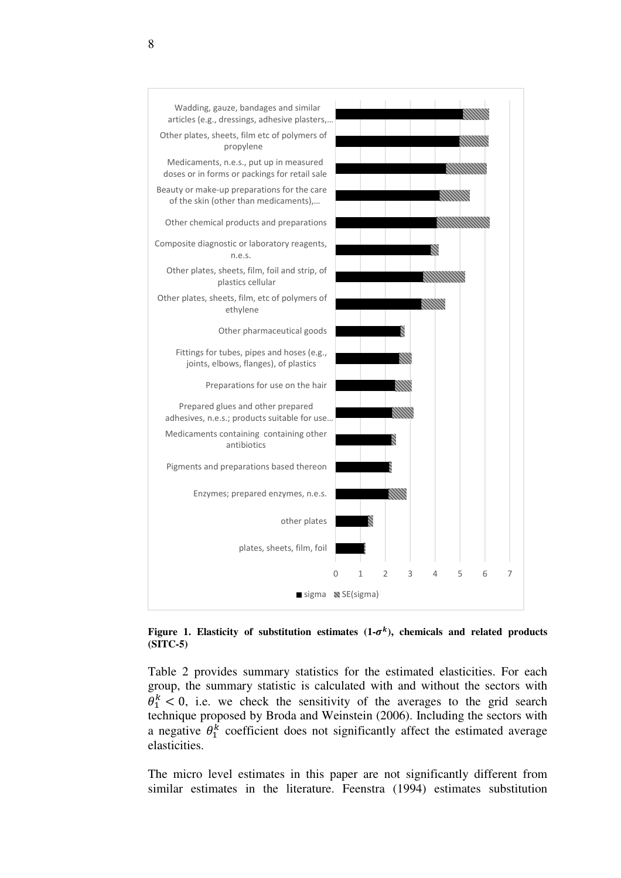

Figure 1. Elasticity of substitution estimates  $(1-\sigma^k)$ , chemicals and related products **(SITC-5)** 

Table 2 provides summary statistics for the estimated elasticities. For each group, the summary statistic is calculated with and without the sectors with  $\theta_1^k$  < 0, i.e. we check the sensitivity of the averages to the grid search technique proposed by Broda and Weinstein (2006). Including the sectors with a negative  $\theta_1^k$  coefficient does not significantly affect the estimated average elasticities.

The micro level estimates in this paper are not significantly different from similar estimates in the literature. Feenstra (1994) estimates substitution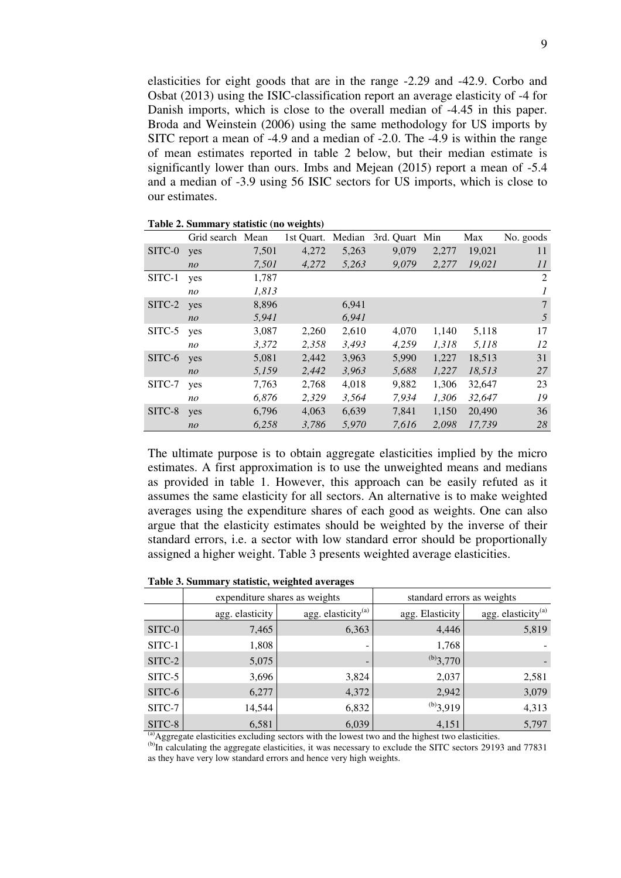elasticities for eight goods that are in the range -2.29 and -42.9. Corbo and Osbat (2013) using the ISIC-classification report an average elasticity of -4 for Danish imports, which is close to the overall median of -4.45 in this paper. Broda and Weinstein (2006) using the same methodology for US imports by SITC report a mean of -4.9 and a median of -2.0. The -4.9 is within the range of mean estimates reported in table 2 below, but their median estimate is significantly lower than ours. Imbs and Mejean (2015) report a mean of -5.4 and a median of -3.9 using 56 ISIC sectors for US imports, which is close to our estimates.

|        | Grid search Mean |       | 1st Ouart. | Median | 3rd. Quart Min |       | Max    | No. goods    |
|--------|------------------|-------|------------|--------|----------------|-------|--------|--------------|
| SITC-0 | yes              | 7,501 | 4,272      | 5,263  | 9,079          | 2,277 | 19,021 | 11           |
|        | n <sub>o</sub>   | 7,501 | 4,272      | 5,263  | 9,079          | 2,277 | 19,021 | 11           |
| SITC-1 | yes              | 1,787 |            |        |                |       |        | 2            |
|        | no               | 1,813 |            |        |                |       |        | $\mathcal I$ |
| SITC-2 | yes              | 8,896 |            | 6,941  |                |       |        | 7            |
|        | n <sub>O</sub>   | 5,941 |            | 6,941  |                |       |        | 5            |
| SITC-5 | yes              | 3,087 | 2,260      | 2,610  | 4,070          | 1,140 | 5,118  | 17           |
|        | no               | 3,372 | 2,358      | 3,493  | 4.259          | 1,318 | 5,118  | 12           |
| SITC-6 | yes              | 5,081 | 2,442      | 3,963  | 5,990          | 1,227 | 18,513 | 31           |
|        | n <sub>O</sub>   | 5,159 | 2,442      | 3,963  | 5,688          | 1,227 | 18,513 | 27           |
| SITC-7 | yes              | 7,763 | 2,768      | 4,018  | 9,882          | 1,306 | 32,647 | 23           |
|        | no               | 6.876 | 2,329      | 3,564  | 7.934          | 1.306 | 32,647 | 19           |
| SITC-8 | yes              | 6,796 | 4,063      | 6,639  | 7,841          | 1,150 | 20,490 | 36           |
|        | n <sub>O</sub>   | 6,258 | 3.786      | 5,970  | 7.616          | 2.098 | 17.739 | 28           |

The ultimate purpose is to obtain aggregate elasticities implied by the micro estimates. A first approximation is to use the unweighted means and medians as provided in table 1. However, this approach can be easily refuted as it assumes the same elasticity for all sectors. An alternative is to make weighted averages using the expenditure shares of each good as weights. One can also argue that the elasticity estimates should be weighted by the inverse of their standard errors, i.e. a sector with low standard error should be proportionally assigned a higher weight. Table 3 presents weighted average elasticities.

#### **Table 3. Summary statistic, weighted averages**

|                   |                 | expenditure shares as weights  | standard errors as weights |                          |  |
|-------------------|-----------------|--------------------------------|----------------------------|--------------------------|--|
|                   | agg. elasticity | agg. elasticity <sup>(a)</sup> | agg. Elasticity            | agg. elasticity $^{(a)}$ |  |
| SITC-0            | 7,465           | 6,363                          | 4,446                      | 5,819                    |  |
| SITC-1            | 1,808           | -                              | 1,768                      |                          |  |
| $SITC-2$          | 5,075           | $\overline{\phantom{0}}$       | $^{(b)}3,770$              |                          |  |
| SITC-5            | 3,696           | 3,824                          | 2,037                      | 2,581                    |  |
| SITC-6            | 6,277           | 4,372                          | 2,942                      | 3,079                    |  |
| SITC-7            | 14,544          | 6,832                          | $^{(b)}3,919$              | 4,313                    |  |
| SITC-8<br>$(a)$ . | 6,581           | 6,039                          | 4,151                      | 5,797                    |  |

 $<sup>(a)</sup>$ Aggregate elasticities excluding sectors with the lowest two and the highest two elasticities.</sup>

(b)In calculating the aggregate elasticities, it was necessary to exclude the SITC sectors 29193 and 77831 as they have very low standard errors and hence very high weights.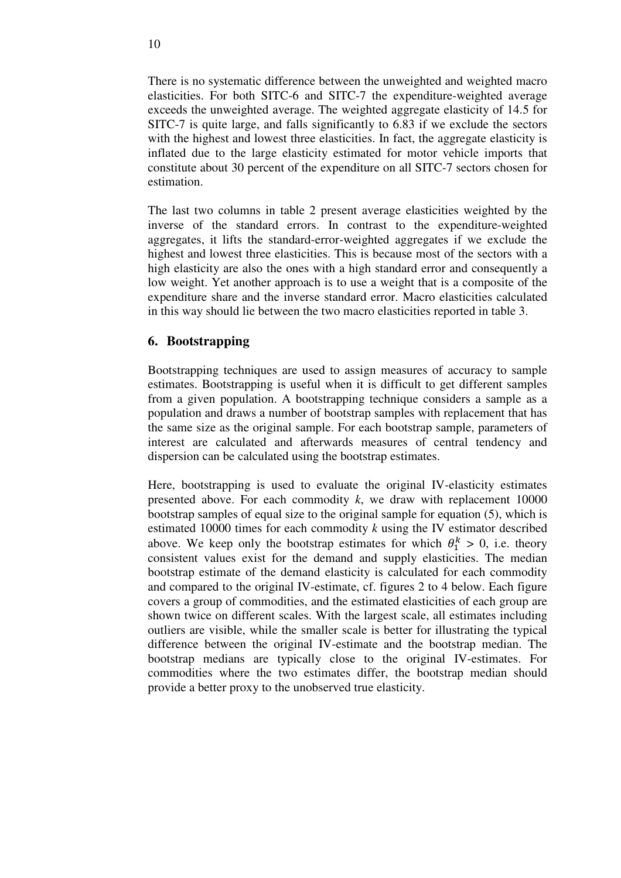There is no systematic difference between the unweighted and weighted macro elasticities. For both SITC-6 and SITC-7 the expenditure-weighted average exceeds the unweighted average. The weighted aggregate elasticity of 14.5 for SITC-7 is quite large, and falls significantly to 6.83 if we exclude the sectors with the highest and lowest three elasticities. In fact, the aggregate elasticity is inflated due to the large elasticity estimated for motor vehicle imports that constitute about 30 percent of the expenditure on all SITC-7 sectors chosen for estimation.

The last two columns in table 2 present average elasticities weighted by the inverse of the standard errors. In contrast to the expenditure-weighted aggregates, it lifts the standard-error-weighted aggregates if we exclude the highest and lowest three elasticities. This is because most of the sectors with a high elasticity are also the ones with a high standard error and consequently a low weight. Yet another approach is to use a weight that is a composite of the expenditure share and the inverse standard error. Macro elasticities calculated in this way should lie between the two macro elasticities reported in table 3.

# **6. Bootstrapping**

Bootstrapping techniques are used to assign measures of accuracy to sample estimates. Bootstrapping is useful when it is difficult to get different samples from a given population. A bootstrapping technique considers a sample as a population and draws a number of bootstrap samples with replacement that has the same size as the original sample. For each bootstrap sample, parameters of interest are calculated and afterwards measures of central tendency and dispersion can be calculated using the bootstrap estimates.

Here, bootstrapping is used to evaluate the original IV-elasticity estimates presented above. For each commodity *k*, we draw with replacement 10000 bootstrap samples of equal size to the original sample for equation (5), which is estimated 10000 times for each commodity *k* using the IV estimator described above. We keep only the bootstrap estimates for which  $\theta_1^k > 0$ , i.e. theory consistent values exist for the demand and supply elasticities. The median bootstrap estimate of the demand elasticity is calculated for each commodity and compared to the original IV-estimate, cf. figures 2 to 4 below. Each figure covers a group of commodities, and the estimated elasticities of each group are shown twice on different scales. With the largest scale, all estimates including outliers are visible, while the smaller scale is better for illustrating the typical difference between the original IV-estimate and the bootstrap median. The bootstrap medians are typically close to the original IV-estimates. For commodities where the two estimates differ, the bootstrap median should provide a better proxy to the unobserved true elasticity.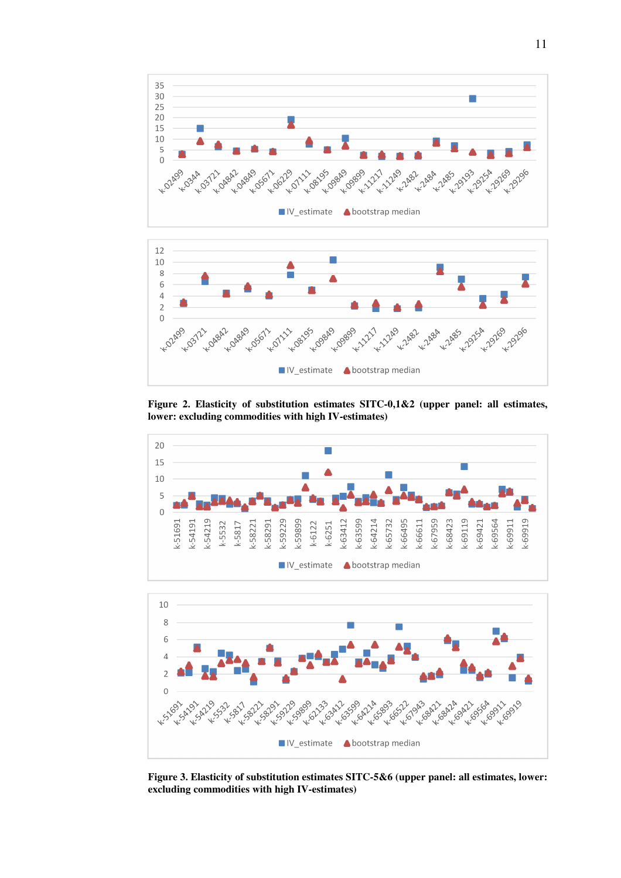



**Figure 2. Elasticity of substitution estimates SITC-0,1&2 (upper panel: all estimates, lower: excluding commodities with high IV-estimates)** 





**Figure 3. Elasticity of substitution estimates SITC-5&6 (upper panel: all estimates, lower: excluding commodities with high IV-estimates)**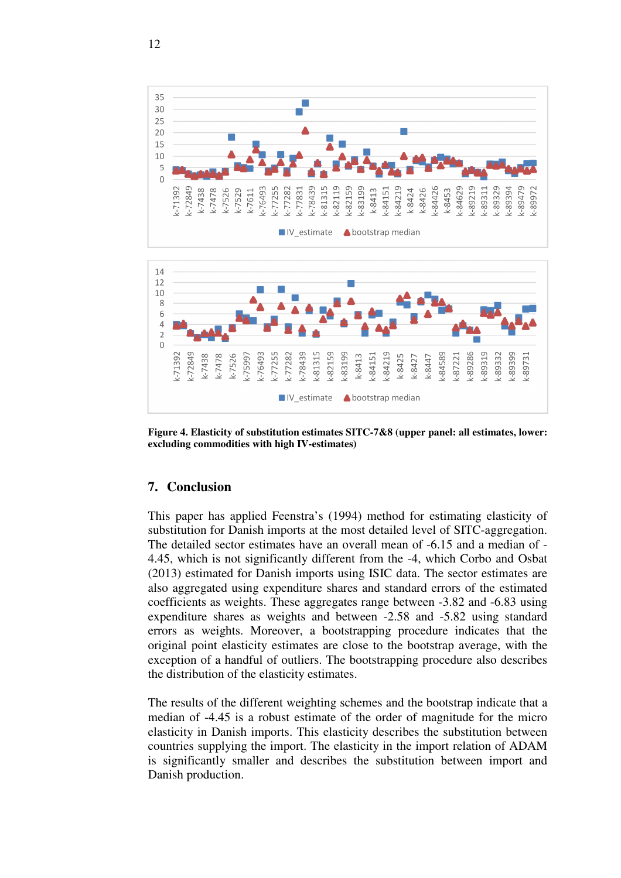



**Figure 4. Elasticity of substitution estimates SITC-7&8 (upper panel: all estimates, lower: excluding commodities with high IV-estimates)** 

# **7. Conclusion**

This paper has applied Feenstra's (1994) method for estimating elasticity of substitution for Danish imports at the most detailed level of SITC-aggregation. The detailed sector estimates have an overall mean of -6.15 and a median of - 4.45, which is not significantly different from the -4, which Corbo and Osbat (2013) estimated for Danish imports using ISIC data. The sector estimates are also aggregated using expenditure shares and standard errors of the estimated coefficients as weights. These aggregates range between -3.82 and -6.83 using expenditure shares as weights and between -2.58 and -5.82 using standard errors as weights. Moreover, a bootstrapping procedure indicates that the original point elasticity estimates are close to the bootstrap average, with the exception of a handful of outliers. The bootstrapping procedure also describes the distribution of the elasticity estimates.

The results of the different weighting schemes and the bootstrap indicate that a median of -4.45 is a robust estimate of the order of magnitude for the micro elasticity in Danish imports. This elasticity describes the substitution between countries supplying the import. The elasticity in the import relation of ADAM is significantly smaller and describes the substitution between import and Danish production.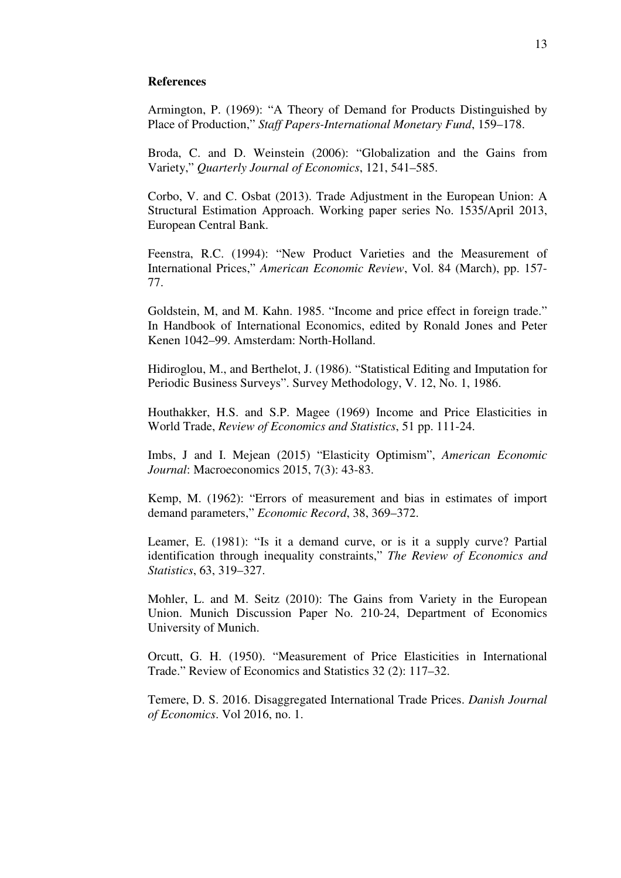### **References**

Armington, P. (1969): "A Theory of Demand for Products Distinguished by Place of Production," *Staff Papers-International Monetary Fund*, 159–178.

Broda, C. and D. Weinstein (2006): "Globalization and the Gains from Variety," *Quarterly Journal of Economics*, 121, 541–585.

Corbo, V. and C. Osbat (2013). Trade Adjustment in the European Union: A Structural Estimation Approach. Working paper series No. 1535/April 2013, European Central Bank.

Feenstra, R.C. (1994): "New Product Varieties and the Measurement of International Prices," *American Economic Review*, Vol. 84 (March), pp. 157- 77.

Goldstein, M, and M. Kahn. 1985. "Income and price effect in foreign trade." In Handbook of International Economics, edited by Ronald Jones and Peter Kenen 1042–99. Amsterdam: North-Holland.

Hidiroglou, M., and Berthelot, J. (1986). "Statistical Editing and Imputation for Periodic Business Surveys". Survey Methodology, V. 12, No. 1, 1986.

Houthakker, H.S. and S.P. Magee (1969) Income and Price Elasticities in World Trade, *Review of Economics and Statistics*, 51 pp. 111-24.

Imbs, J and I. Mejean (2015) "Elasticity Optimism", *American Economic Journal*: Macroeconomics 2015, 7(3): 43-83.

Kemp, M. (1962): "Errors of measurement and bias in estimates of import demand parameters," *Economic Record*, 38, 369–372.

Leamer, E. (1981): "Is it a demand curve, or is it a supply curve? Partial identification through inequality constraints," *The Review of Economics and Statistics*, 63, 319–327.

Mohler, L. and M. Seitz (2010): The Gains from Variety in the European Union. Munich Discussion Paper No. 210-24, Department of Economics University of Munich.

Orcutt, G. H. (1950). "Measurement of Price Elasticities in International Trade." Review of Economics and Statistics 32 (2): 117–32.

Temere, D. S. 2016. Disaggregated International Trade Prices. *Danish Journal of Economics*. Vol 2016, no. 1.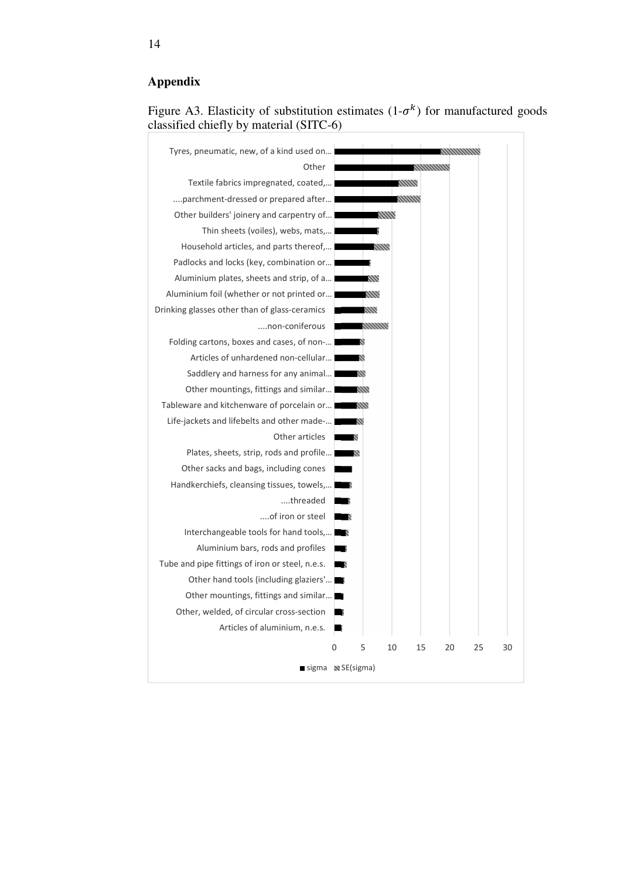# **Appendix**



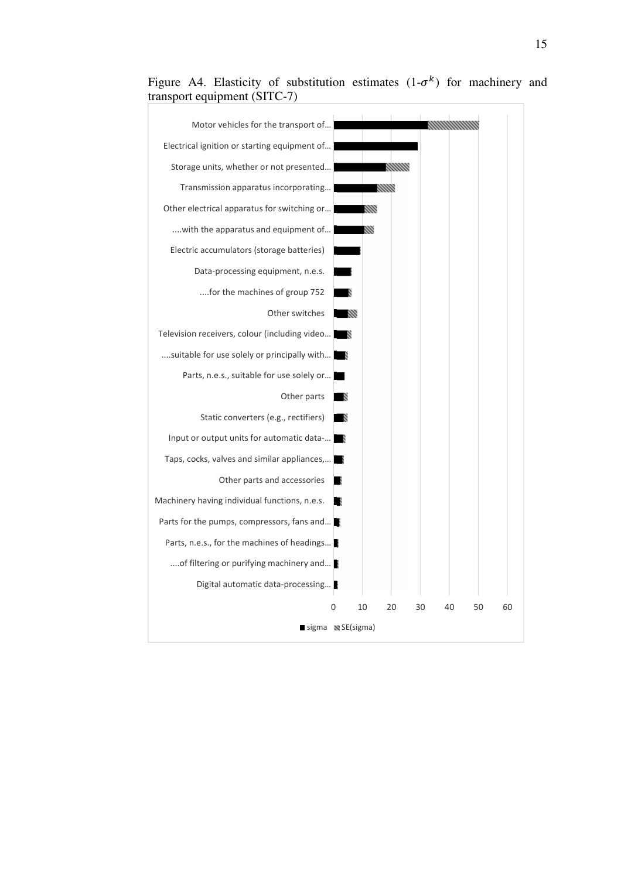

Figure A4. Elasticity of substitution estimates  $(1-\sigma^k)$  for machinery and transport equipment (SITC-7)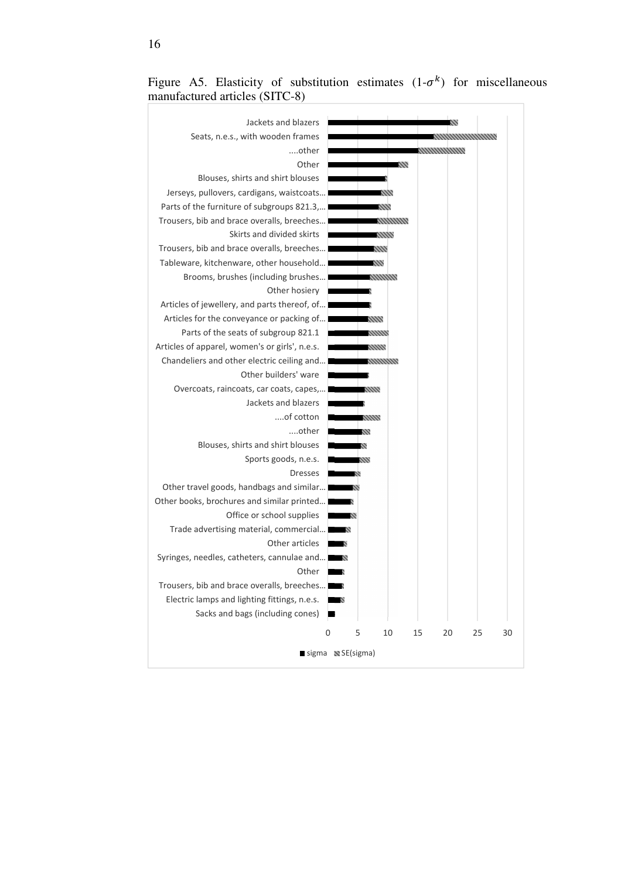

Figure A5. Elasticity of substitution estimates  $(1-\sigma^k)$  for miscellaneous manufactured articles (SITC-8)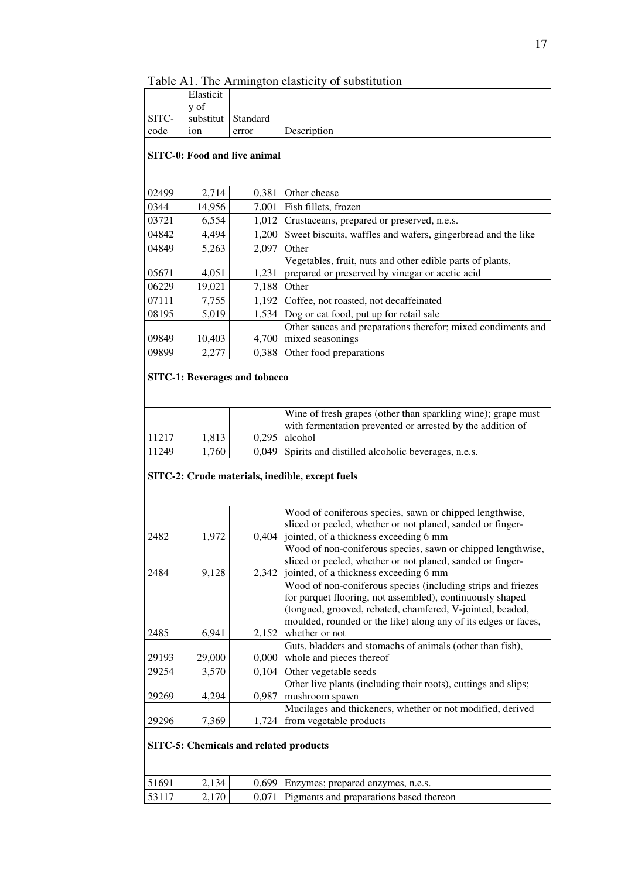|                |                |                                               | Table A1. The Armington elasticity of substitution                                                   |
|----------------|----------------|-----------------------------------------------|------------------------------------------------------------------------------------------------------|
|                | Elasticit      |                                               |                                                                                                      |
|                | y of           |                                               |                                                                                                      |
| SITC-          | substitut      | Standard                                      |                                                                                                      |
| code           | ion            | error                                         | Description                                                                                          |
|                |                | <b>SITC-0: Food and live animal</b>           |                                                                                                      |
|                |                |                                               |                                                                                                      |
|                |                |                                               |                                                                                                      |
| 02499          | 2,714          | 0,381                                         | Other cheese                                                                                         |
| 0344           | 14,956         | 7,001                                         | Fish fillets, frozen                                                                                 |
| 03721          | 6,554          | 1,012                                         | Crustaceans, prepared or preserved, n.e.s.                                                           |
| 04842          | 4,494          | 1,200                                         | Sweet biscuits, waffles and wafers, gingerbread and the like                                         |
| 04849          | 5,263          | 2,097                                         | Other                                                                                                |
|                |                |                                               | Vegetables, fruit, nuts and other edible parts of plants,                                            |
| 05671          | 4,051          | 1,231                                         | prepared or preserved by vinegar or acetic acid                                                      |
| 06229          | 19,021         | 7,188                                         | Other                                                                                                |
| 07111          | 7,755          | 1,192                                         | Coffee, not roasted, not decaffeinated                                                               |
| 08195          | 5,019          |                                               | 1,534 Dog or cat food, put up for retail sale                                                        |
|                |                |                                               | Other sauces and preparations therefor; mixed condiments and                                         |
| 09849          | 10,403         | 4,700                                         | mixed seasonings                                                                                     |
| 09899          | 2,277          |                                               | 0,388 Other food preparations                                                                        |
|                |                | <b>SITC-1: Beverages and tobacco</b>          |                                                                                                      |
|                |                |                                               |                                                                                                      |
|                |                |                                               | Wine of fresh grapes (other than sparkling wine); grape must                                         |
|                |                |                                               | with fermentation prevented or arrested by the addition of                                           |
| 11217<br>11249 | 1,813<br>1,760 | 0,295                                         | alcohol                                                                                              |
|                |                | 0,049                                         | Spirits and distilled alcoholic beverages, n.e.s.                                                    |
|                |                |                                               | SITC-2: Crude materials, inedible, except fuels                                                      |
|                |                |                                               |                                                                                                      |
|                |                |                                               |                                                                                                      |
|                |                |                                               | Wood of coniferous species, sawn or chipped lengthwise,                                              |
|                |                |                                               | sliced or peeled, whether or not planed, sanded or finger-                                           |
| 2482           | 1,972          |                                               | $0,404$   jointed, of a thickness exceeding 6 mm                                                     |
|                |                |                                               | Wood of non-coniferous species, sawn or chipped lengthwise,                                          |
| 2484           | 9,128          | 2,342                                         | sliced or peeled, whether or not planed, sanded or finger-<br>jointed, of a thickness exceeding 6 mm |
|                |                |                                               | Wood of non-coniferous species (including strips and friezes                                         |
|                |                |                                               | for parquet flooring, not assembled), continuously shaped                                            |
|                |                |                                               | (tongued, grooved, rebated, chamfered, V-jointed, beaded,                                            |
|                |                |                                               | moulded, rounded or the like) along any of its edges or faces,                                       |
| 2485           | 6,941          | 2,152                                         | whether or not                                                                                       |
|                |                |                                               | Guts, bladders and stomachs of animals (other than fish),                                            |
| 29193          | 29,000         | 0,000                                         | whole and pieces thereof                                                                             |
| 29254          | 3,570          | 0,104                                         | Other vegetable seeds                                                                                |
|                |                |                                               | Other live plants (including their roots), cuttings and slips;                                       |
| 29269          | 4,294          | 0,987                                         | mushroom spawn                                                                                       |
| 29296          | 7,369          | 1,724                                         | Mucilages and thickeners, whether or not modified, derived<br>from vegetable products                |
|                |                |                                               |                                                                                                      |
|                |                | <b>SITC-5: Chemicals and related products</b> |                                                                                                      |

| 51691 | 2.134              | 0,699 Enzymes; prepared enzymes, n.e.s.       |
|-------|--------------------|-----------------------------------------------|
| 53117 | 2.170 <sub>1</sub> | 0.071 Pigments and preparations based thereon |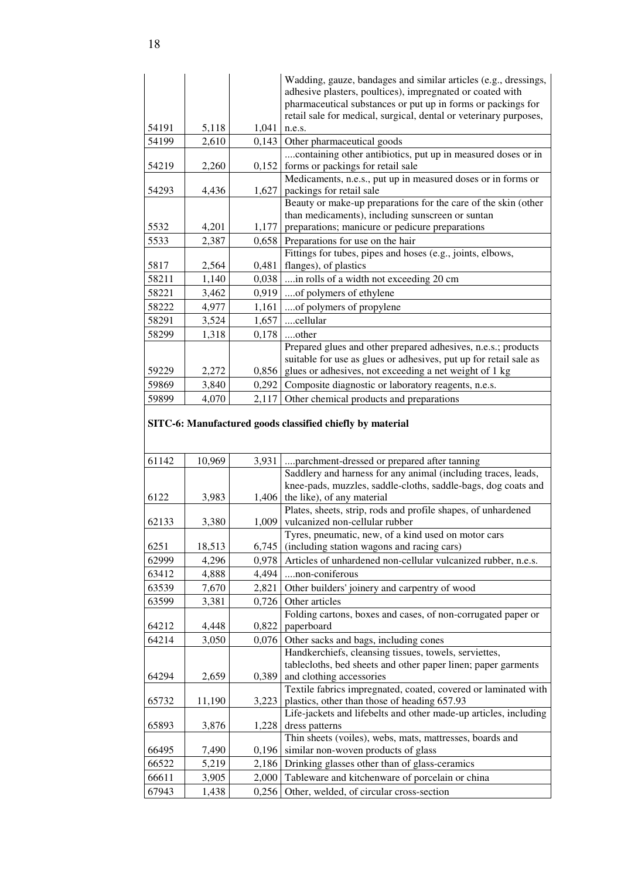|                |                |                | Wadding, gauze, bandages and similar articles (e.g., dressings,                                                                |
|----------------|----------------|----------------|--------------------------------------------------------------------------------------------------------------------------------|
|                |                |                | adhesive plasters, poultices), impregnated or coated with<br>pharmaceutical substances or put up in forms or packings for      |
|                |                |                | retail sale for medical, surgical, dental or veterinary purposes,                                                              |
| 54191          | 5,118          | 1,041          | n.e.s.                                                                                                                         |
| 54199          | 2,610          | 0,143          | Other pharmaceutical goods                                                                                                     |
|                |                |                | containing other antibiotics, put up in measured doses or in                                                                   |
| 54219          | 2,260          | 0,152          | forms or packings for retail sale                                                                                              |
|                |                |                | Medicaments, n.e.s., put up in measured doses or in forms or                                                                   |
| 54293          | 4,436          | 1,627          | packings for retail sale                                                                                                       |
|                |                |                | Beauty or make-up preparations for the care of the skin (other<br>than medicaments), including sunscreen or suntan             |
| 5532           | 4,201          | 1,177          | preparations; manicure or pedicure preparations                                                                                |
| 5533           | 2,387          | 0,658          | Preparations for use on the hair                                                                                               |
|                |                |                | Fittings for tubes, pipes and hoses (e.g., joints, elbows,                                                                     |
| 5817           | 2,564          | 0,481          | flanges), of plastics                                                                                                          |
| 58211          | 1,140          | 0,038          | in rolls of a width not exceeding 20 cm                                                                                        |
| 58221          | 3,462          | 0,919          | of polymers of ethylene                                                                                                        |
| 58222          | 4,977          | 1,161          | of polymers of propylene                                                                                                       |
| 58291          | 3,524          | 1,657          | cellular                                                                                                                       |
| 58299          | 1,318          | 0,178          | other                                                                                                                          |
|                |                |                | Prepared glues and other prepared adhesives, n.e.s.; products                                                                  |
|                |                |                | suitable for use as glues or adhesives, put up for retail sale as                                                              |
| 59229          | 2,272          | 0,856          | glues or adhesives, not exceeding a net weight of 1 kg                                                                         |
| 59869          | 3,840          | 0,292          | Composite diagnostic or laboratory reagents, n.e.s.                                                                            |
| 59899          | 4,070          | 2,117          | Other chemical products and preparations                                                                                       |
|                |                |                | SITC-6: Manufactured goods classified chiefly by material                                                                      |
|                |                |                |                                                                                                                                |
|                |                |                |                                                                                                                                |
|                |                |                |                                                                                                                                |
| 61142          | 10,969         | 3,931          | parchment-dressed or prepared after tanning                                                                                    |
|                |                |                | Saddlery and harness for any animal (including traces, leads,<br>knee-pads, muzzles, saddle-cloths, saddle-bags, dog coats and |
| 6122           | 3,983          | 1,406          | the like), of any material                                                                                                     |
|                |                |                | Plates, sheets, strip, rods and profile shapes, of unhardened                                                                  |
| 62133          | 3,380          | 1,009          | vulcanized non-cellular rubber                                                                                                 |
|                |                |                | Tyres, pneumatic, new, of a kind used on motor cars                                                                            |
| 6251           | 18,513         | 6,745          | (including station wagons and racing cars)                                                                                     |
| 62999          | 4,296          | 0,978          | Articles of unhardened non-cellular vulcanized rubber, n.e.s.                                                                  |
| 63412          | 4,888          | 4,494          | non-coniferous                                                                                                                 |
| 63539          | 7,670          | 2,821          | Other builders' joinery and carpentry of wood                                                                                  |
| 63599          | 3,381          | 0,726          | Other articles                                                                                                                 |
|                |                |                | Folding cartons, boxes and cases, of non-corrugated paper or                                                                   |
| 64212<br>64214 | 4,448<br>3,050 | 0,822<br>0,076 | paperboard                                                                                                                     |
|                |                |                | Other sacks and bags, including cones<br>Handkerchiefs, cleansing tissues, towels, serviettes,                                 |
|                |                |                | tablecloths, bed sheets and other paper linen; paper garments                                                                  |
| 64294          | 2,659          | 0,389          | and clothing accessories                                                                                                       |
|                |                |                | Textile fabrics impregnated, coated, covered or laminated with                                                                 |
| 65732          | 11,190         | 3,223          | plastics, other than those of heading 657.93                                                                                   |
|                |                |                | Life-jackets and lifebelts and other made-up articles, including                                                               |
| 65893          | 3,876          | 1,228          | dress patterns                                                                                                                 |
| 66495          | 7,490          | 0,196          | Thin sheets (voiles), webs, mats, mattresses, boards and<br>similar non-woven products of glass                                |
| 66522          | 5,219          | 2,186          | Drinking glasses other than of glass-ceramics                                                                                  |
| 66611          | 3,905          | 2,000          | Tableware and kitchenware of porcelain or china                                                                                |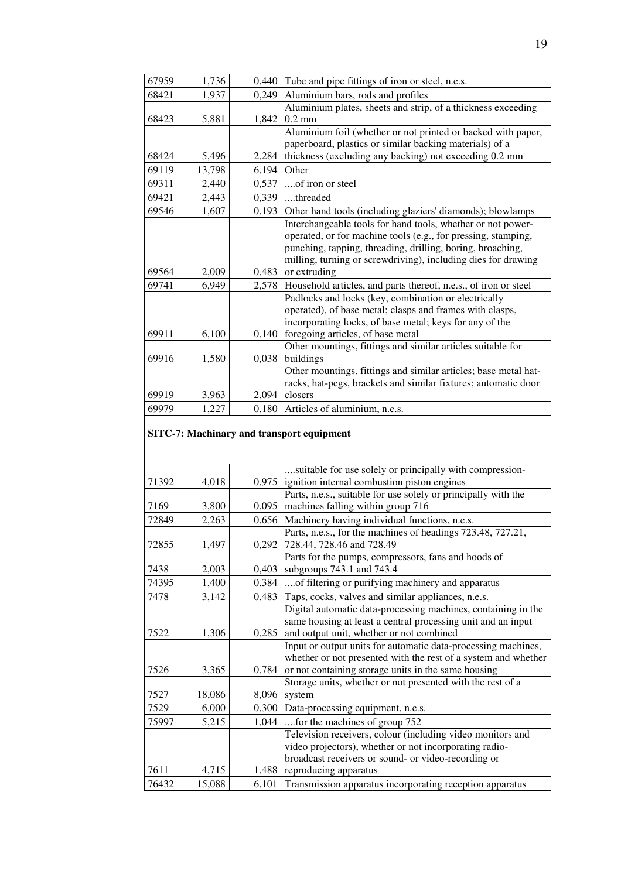| 67959 | 1,736  | 0,440 | Tube and pipe fittings of iron or steel, n.e.s.                 |
|-------|--------|-------|-----------------------------------------------------------------|
| 68421 | 1,937  | 0,249 | Aluminium bars, rods and profiles                               |
|       |        |       | Aluminium plates, sheets and strip, of a thickness exceeding    |
| 68423 | 5,881  | 1,842 | $0.2$ mm                                                        |
|       |        |       | Aluminium foil (whether or not printed or backed with paper,    |
|       |        |       | paperboard, plastics or similar backing materials) of a         |
| 68424 | 5,496  | 2,284 | thickness (excluding any backing) not exceeding 0.2 mm          |
| 69119 | 13,798 | 6,194 | Other                                                           |
| 69311 | 2,440  | 0,537 | of iron or steel                                                |
| 69421 | 2,443  | 0,339 | threaded                                                        |
| 69546 | 1,607  | 0,193 | Other hand tools (including glaziers' diamonds); blowlamps      |
|       |        |       | Interchangeable tools for hand tools, whether or not power-     |
|       |        |       | operated, or for machine tools (e.g., for pressing, stamping,   |
|       |        |       | punching, tapping, threading, drilling, boring, broaching,      |
|       |        |       | milling, turning or screwdriving), including dies for drawing   |
| 69564 | 2,009  | 0,483 | or extruding                                                    |
| 69741 | 6,949  | 2,578 | Household articles, and parts thereof, n.e.s., of iron or steel |
|       |        |       | Padlocks and locks (key, combination or electrically            |
|       |        |       | operated), of base metal; clasps and frames with clasps,        |
|       |        |       | incorporating locks, of base metal; keys for any of the         |
| 69911 | 6,100  | 0,140 | foregoing articles, of base metal                               |
|       |        |       | Other mountings, fittings and similar articles suitable for     |
| 69916 | 1,580  | 0,038 | buildings                                                       |
|       |        |       | Other mountings, fittings and similar articles; base metal hat- |
|       |        |       | racks, hat-pegs, brackets and similar fixtures; automatic door  |
| 69919 | 3,963  | 2,094 | closers                                                         |
| 69979 | 1,227  | 0,180 | Articles of aluminium, n.e.s.                                   |

#### **SITC-7: Machinary and transport equipment**

|       |        |       | suitable for use solely or principally with compression-       |
|-------|--------|-------|----------------------------------------------------------------|
| 71392 | 4,018  | 0,975 | ignition internal combustion piston engines                    |
|       |        |       | Parts, n.e.s., suitable for use solely or principally with the |
| 7169  | 3,800  | 0,095 | machines falling within group 716                              |
| 72849 | 2,263  | 0,656 | Machinery having individual functions, n.e.s.                  |
|       |        |       | Parts, n.e.s., for the machines of headings 723.48, 727.21,    |
| 72855 | 1,497  | 0,292 | 728.44, 728.46 and 728.49                                      |
|       |        |       | Parts for the pumps, compressors, fans and hoods of            |
| 7438  | 2,003  | 0,403 | subgroups 743.1 and 743.4                                      |
| 74395 | 1,400  | 0,384 | of filtering or purifying machinery and apparatus              |
| 7478  | 3,142  | 0,483 | Taps, cocks, valves and similar appliances, n.e.s.             |
|       |        |       | Digital automatic data-processing machines, containing in the  |
|       |        |       | same housing at least a central processing unit and an input   |
| 7522  | 1,306  | 0,285 | and output unit, whether or not combined                       |
|       |        |       | Input or output units for automatic data-processing machines,  |
|       |        |       | whether or not presented with the rest of a system and whether |
| 7526  | 3,365  | 0,784 | or not containing storage units in the same housing            |
|       |        |       | Storage units, whether or not presented with the rest of a     |
| 7527  | 18,086 | 8,096 | system                                                         |
| 7529  | 6,000  | 0,300 | Data-processing equipment, n.e.s.                              |
| 75997 | 5,215  | 1,044 | for the machines of group 752                                  |
|       |        |       | Television receivers, colour (including video monitors and     |
|       |        |       | video projectors), whether or not incorporating radio-         |
|       |        |       | broadcast receivers or sound- or video-recording or            |
| 7611  | 4,715  | 1,488 | reproducing apparatus                                          |
| 76432 | 15,088 | 6,101 | Transmission apparatus incorporating reception apparatus       |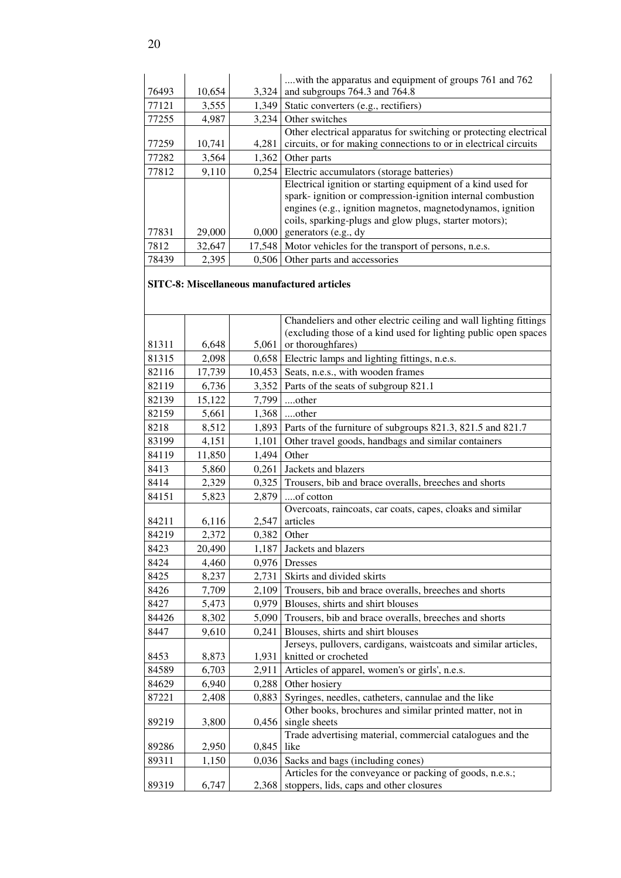|       |        |        | with the apparatus and equipment of groups 761 and 762            |
|-------|--------|--------|-------------------------------------------------------------------|
| 76493 | 10,654 | 3,324  | and subgroups 764.3 and 764.8                                     |
| 77121 | 3,555  | 1,349  | Static converters (e.g., rectifiers)                              |
| 77255 | 4.987  | 3.234  | Other switches                                                    |
|       |        |        | Other electrical apparatus for switching or protecting electrical |
| 77259 | 10,741 | 4.281  | circuits, or for making connections to or in electrical circuits  |
| 77282 | 3,564  | 1,362  | Other parts                                                       |
| 77812 | 9,110  | 0.254  | Electric accumulators (storage batteries)                         |
|       |        |        | Electrical ignition or starting equipment of a kind used for      |
|       |        |        | spark-ignition or compression-ignition internal combustion        |
|       |        |        | engines (e.g., ignition magnetos, magnetodynamos, ignition        |
|       |        |        | coils, sparking-plugs and glow plugs, starter motors);            |
| 77831 | 29,000 | 0,000  | generators (e.g., dy                                              |
| 7812  | 32,647 | 17.548 | Motor vehicles for the transport of persons, n.e.s.               |
| 78439 | 2,395  | 0.506  | Other parts and accessories                                       |

#### **SITC-8: Miscellaneous manufactured articles**

|       |        |        | Chandeliers and other electric ceiling and wall lighting fittings<br>(excluding those of a kind used for lighting public open spaces |
|-------|--------|--------|--------------------------------------------------------------------------------------------------------------------------------------|
| 81311 | 6,648  | 5,061  | or thoroughfares)                                                                                                                    |
| 81315 | 2,098  | 0,658  | Electric lamps and lighting fittings, n.e.s.                                                                                         |
| 82116 | 17,739 | 10,453 | Seats, n.e.s., with wooden frames                                                                                                    |
| 82119 | 6,736  | 3,352  | Parts of the seats of subgroup 821.1                                                                                                 |
| 82139 | 15,122 | 7,799  | other                                                                                                                                |
| 82159 | 5,661  | 1,368  | other                                                                                                                                |
| 8218  | 8,512  | 1,893  | Parts of the furniture of subgroups 821.3, 821.5 and 821.7                                                                           |
| 83199 | 4,151  | 1,101  | Other travel goods, handbags and similar containers                                                                                  |
| 84119 | 11,850 | 1,494  | Other                                                                                                                                |
| 8413  | 5,860  | 0,261  | Jackets and blazers                                                                                                                  |
| 8414  | 2,329  | 0,325  | Trousers, bib and brace overalls, breeches and shorts                                                                                |
| 84151 | 5,823  | 2,879  | of cotton                                                                                                                            |
|       |        |        | Overcoats, raincoats, car coats, capes, cloaks and similar                                                                           |
| 84211 | 6,116  | 2,547  | articles                                                                                                                             |
| 84219 | 2,372  | 0,382  | Other                                                                                                                                |
| 8423  | 20,490 | 1,187  | Jackets and blazers                                                                                                                  |
| 8424  | 4,460  | 0,976  | <b>Dresses</b>                                                                                                                       |
| 8425  | 8,237  | 2,731  | Skirts and divided skirts                                                                                                            |
| 8426  | 7,709  | 2,109  | Trousers, bib and brace overalls, breeches and shorts                                                                                |
| 8427  | 5,473  | 0,979  | Blouses, shirts and shirt blouses                                                                                                    |
| 84426 | 8,302  | 5,090  | Trousers, bib and brace overalls, breeches and shorts                                                                                |
| 8447  | 9,610  | 0,241  | Blouses, shirts and shirt blouses                                                                                                    |
| 8453  | 8,873  | 1,931  | Jerseys, pullovers, cardigans, waistcoats and similar articles,<br>knitted or crocheted                                              |
| 84589 | 6,703  | 2,911  | Articles of apparel, women's or girls', n.e.s.                                                                                       |
| 84629 | 6,940  | 0,288  | Other hosiery                                                                                                                        |
| 87221 | 2,408  | 0,883  | Syringes, needles, catheters, cannulae and the like                                                                                  |
|       |        |        | Other books, brochures and similar printed matter, not in                                                                            |
| 89219 | 3,800  | 0,456  | single sheets                                                                                                                        |
|       |        |        | Trade advertising material, commercial catalogues and the                                                                            |
| 89286 | 2,950  | 0,845  | like                                                                                                                                 |
| 89311 | 1,150  | 0,036  | Sacks and bags (including cones)                                                                                                     |
|       |        |        | Articles for the conveyance or packing of goods, n.e.s.;                                                                             |
| 89319 | 6,747  | 2,368  | stoppers, lids, caps and other closures                                                                                              |